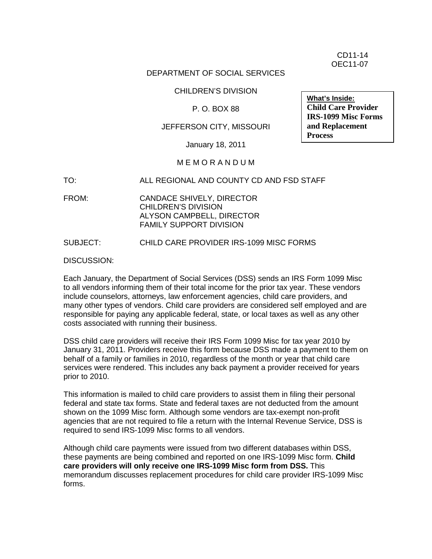CD11-14 OEC11-07

#### DEPARTMENT OF SOCIAL SERVICES

CHILDREN'S DIVISION

#### P. O. BOX 88

### JEFFERSON CITY, MISSOURI

January 18, 2011

#### M E M O R A N D U M

TO: ALL REGIONAL AND COUNTY CD AND FSD STAFF

FROM: CANDACE SHIVELY, DIRECTOR CHILDREN'S DIVISION ALYSON CAMPBELL, DIRECTOR FAMILY SUPPORT DIVISION

#### SUBJECT: CHILD CARE PROVIDER IRS-1099 MISC FORMS

DISCUSSION:

Each January, the Department of Social Services (DSS) sends an IRS Form 1099 Misc to all vendors informing them of their total income for the prior tax year. These vendors include counselors, attorneys, law enforcement agencies, child care providers, and many other types of vendors. Child care providers are considered self employed and are responsible for paying any applicable federal, state, or local taxes as well as any other costs associated with running their business.

DSS child care providers will receive their IRS Form 1099 Misc for tax year 2010 by January 31, 2011. Providers receive this form because DSS made a payment to them on behalf of a family or families in 2010, regardless of the month or year that child care services were rendered. This includes any back payment a provider received for years prior to 2010.

This information is mailed to child care providers to assist them in filing their personal federal and state tax forms. State and federal taxes are not deducted from the amount shown on the 1099 Misc form. Although some vendors are tax-exempt non-profit agencies that are not required to file a return with the Internal Revenue Service, DSS is required to send IRS-1099 Misc forms to all vendors.

Although child care payments were issued from two different databases within DSS, these payments are being combined and reported on one IRS-1099 Misc form. **Child care providers will only receive one IRS-1099 Misc form from DSS.** This memorandum discusses replacement procedures for child care provider IRS-1099 Misc forms.

**What's Inside: Child Care Provider IRS-1099 Misc Forms and Replacement Process**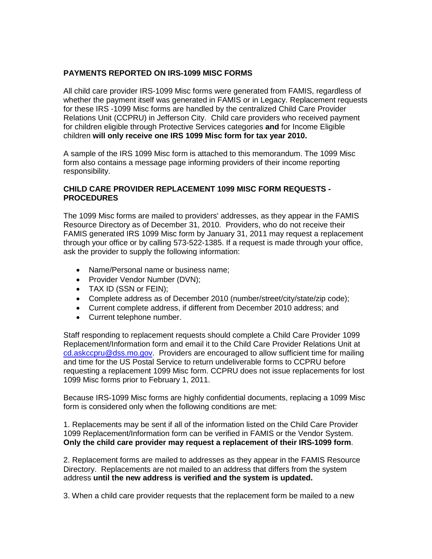### **PAYMENTS REPORTED ON IRS-1099 MISC FORMS**

All child care provider IRS-1099 Misc forms were generated from FAMIS, regardless of whether the payment itself was generated in FAMIS or in Legacy. Replacement requests for these IRS -1099 Misc forms are handled by the centralized Child Care Provider Relations Unit (CCPRU) in Jefferson City. Child care providers who received payment for children eligible through Protective Services categories **and** for Income Eligible children **will only receive one IRS 1099 Misc form for tax year 2010.**

A sample of the IRS 1099 Misc form is attached to this memorandum. The 1099 Misc form also contains a message page informing providers of their income reporting responsibility.

### **CHILD CARE PROVIDER REPLACEMENT 1099 MISC FORM REQUESTS - PROCEDURES**

The 1099 Misc forms are mailed to providers' addresses, as they appear in the FAMIS Resource Directory as of December 31, 2010. Providers, who do not receive their FAMIS generated IRS 1099 Misc form by January 31, 2011 may request a replacement through your office or by calling 573-522-1385. If a request is made through your office, ask the provider to supply the following information:

- Name/Personal name or business name;
- Provider Vendor Number (DVN);
- TAX ID (SSN or FEIN);
- Complete address as of December 2010 (number/street/city/state/zip code);
- Current complete address, if different from December 2010 address; and
- Current telephone number.

Staff responding to replacement requests should complete a Child Care Provider 1099 Replacement/Information form and email it to the Child Care Provider Relations Unit at [cd.askccpru@dss.mo.gov.](mailto:cd.askccpru@dss.mo.gov) Providers are encouraged to allow sufficient time for mailing and time for the US Postal Service to return undeliverable forms to CCPRU before requesting a replacement 1099 Misc form. CCPRU does not issue replacements for lost 1099 Misc forms prior to February 1, 2011.

Because IRS-1099 Misc forms are highly confidential documents, replacing a 1099 Misc form is considered only when the following conditions are met:

1. Replacements may be sent if all of the information listed on the Child Care Provider 1099 Replacement/Information form can be verified in FAMIS or the Vendor System. **Only the child care provider may request a replacement of their IRS-1099 form**.

2. Replacement forms are mailed to addresses as they appear in the FAMIS Resource Directory. Replacements are not mailed to an address that differs from the system address **until the new address is verified and the system is updated.**

3. When a child care provider requests that the replacement form be mailed to a new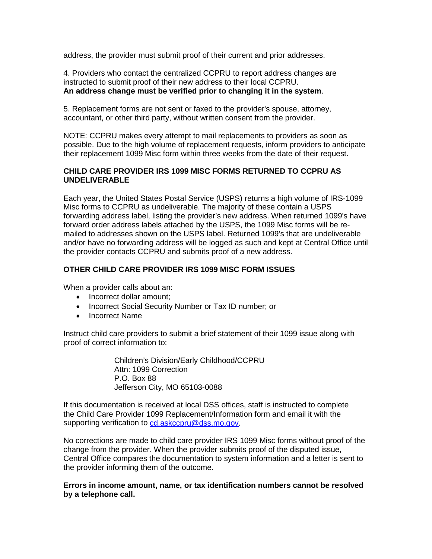address, the provider must submit proof of their current and prior addresses.

4. Providers who contact the centralized CCPRU to report address changes are instructed to submit proof of their new address to their local CCPRU. **An address change must be verified prior to changing it in the system**.

5. Replacement forms are not sent or faxed to the provider's spouse, attorney, accountant, or other third party, without written consent from the provider.

NOTE: CCPRU makes every attempt to mail replacements to providers as soon as possible. Due to the high volume of replacement requests, inform providers to anticipate their replacement 1099 Misc form within three weeks from the date of their request.

### **CHILD CARE PROVIDER IRS 1099 MISC FORMS RETURNED TO CCPRU AS UNDELIVERABLE**

Each year, the United States Postal Service (USPS) returns a high volume of IRS-1099 Misc forms to CCPRU as undeliverable. The majority of these contain a USPS forwarding address label, listing the provider's new address. When returned 1099's have forward order address labels attached by the USPS, the 1099 Misc forms will be remailed to addresses shown on the USPS label. Returned 1099's that are undeliverable and/or have no forwarding address will be logged as such and kept at Central Office until the provider contacts CCPRU and submits proof of a new address.

### **OTHER CHILD CARE PROVIDER IRS 1099 MISC FORM ISSUES**

When a provider calls about an:

- Incorrect dollar amount;
- Incorrect Social Security Number or Tax ID number; or
- Incorrect Name

Instruct child care providers to submit a brief statement of their 1099 issue along with proof of correct information to:

> Children's Division/Early Childhood/CCPRU Attn: 1099 Correction P.O. Box 88 Jefferson City, MO 65103-0088

If this documentation is received at local DSS offices, staff is instructed to complete the Child Care Provider 1099 Replacement/Information form and email it with the supporting verification to [cd.askccpru@dss.mo.gov.](mailto:cd.askccpru@dss.mo.gov)

No corrections are made to child care provider IRS 1099 Misc forms without proof of the change from the provider. When the provider submits proof of the disputed issue, Central Office compares the documentation to system information and a letter is sent to the provider informing them of the outcome.

**Errors in income amount, name, or tax identification numbers cannot be resolved by a telephone call.**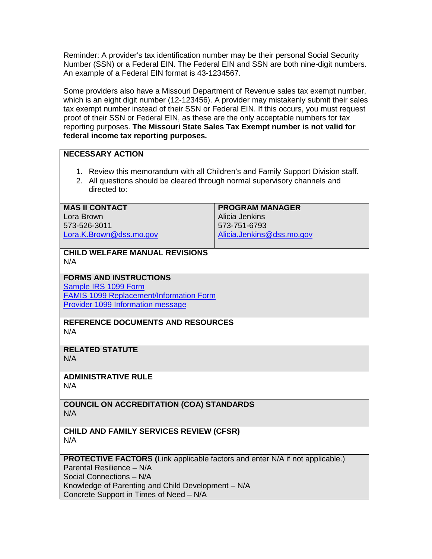Reminder: A provider's tax identification number may be their personal Social Security Number (SSN) or a Federal EIN. The Federal EIN and SSN are both nine-digit numbers. An example of a Federal EIN format is 43-1234567.

Some providers also have a Missouri Department of Revenue sales tax exempt number, which is an eight digit number (12-123456). A provider may mistakenly submit their sales tax exempt number instead of their SSN or Federal EIN. If this occurs, you must request proof of their SSN or Federal EIN, as these are the only acceptable numbers for tax reporting purposes. **The Missouri State Sales Tax Exempt number is not valid for federal income tax reporting purposes.**

### **NECESSARY ACTION**

- 1. Review this memorandum with all Children's and Family Support Division staff.
- 2. All questions should be cleared through normal supervisory channels and directed to:

#### **MAS II CONTACT**

Lora Brown 573-526-3011 [Lora.K.Brown@dss.mo.gov](mailto:Lora.K.Brown@dss.mo.gov) **PROGRAM MANAGER** Alicia Jenkins 573-751-6793 [Alicia.Jenkins@dss.mo.gov](mailto:Alicia.Jenkins@dss.mo.gov)

#### **CHILD WELFARE MANUAL REVISIONS** N/A

**FORMS AND INSTRUCTIONS**

[Sample IRS](http://www.dss.mo.gov/cd/info/memos/2011/cd11-014att2.pdf) 1099 Form [FAMIS 1099 Replacement/Information Form](http://www.dss.mo.gov/cd/info/memos/2011/cd11-014att3.pdf) [Provider 1099 Information message](http://www.dss.mo.gov/cd/info/memos/2011/cd11-014att.pdf)

#### **REFERENCE DOCUMENTS AND RESOURCES** N/A

# **RELATED STATUTE**

N/A

# **ADMINISTRATIVE RULE**

N/A

### **COUNCIL ON ACCREDITATION (COA) STANDARDS** N/A

**CHILD AND FAMILY SERVICES REVIEW (CFSR)** N/A

# **PROTECTIVE FACTORS (**Link applicable factors and enter N/A if not applicable.)

Parental Resilience – N/A Social Connections – N/A

Knowledge of Parenting and Child Development – N/A

Concrete Support in Times of Need – N/A